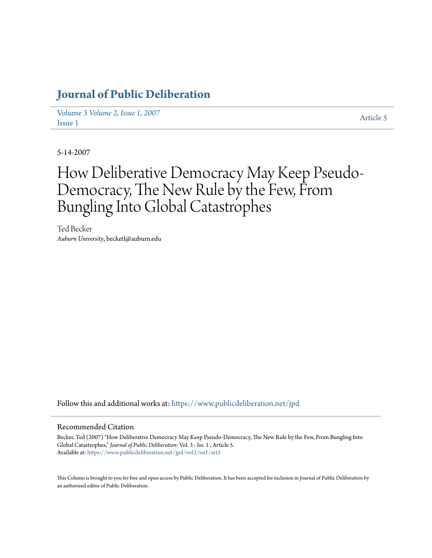## **[Journal of Public Deliberation](https://www.publicdeliberation.net/jpd?utm_source=www.publicdeliberation.net%2Fjpd%2Fvol3%2Fiss1%2Fart5&utm_medium=PDF&utm_campaign=PDFCoverPages)**

Volume 3 *[Volume 2, Issue 1, 2007](https://www.publicdeliberation.net/jpd/vol3?utm_source=www.publicdeliberation.net%2Fjpd%2Fvol3%2Fiss1%2Fart5&utm_medium=PDF&utm_campaign=PDFCoverPages)* Article 5<br>[Issue 1](https://www.publicdeliberation.net/jpd/vol3/iss1?utm_source=www.publicdeliberation.net%2Fjpd%2Fvol3%2Fiss1%2Fart5&utm_medium=PDF&utm_campaign=PDFCoverPages) [Article 5](https://www.publicdeliberation.net/jpd/vol3/iss1/art5?utm_source=www.publicdeliberation.net%2Fjpd%2Fvol3%2Fiss1%2Fart5&utm_medium=PDF&utm_campaign=PDFCoverPages)

5-14-2007

# How Deliberative Democracy May Keep Pseudo-Democracy, The New Rule by the Few, From Bungling Into Global Catastrophes

Ted Becker *Auburn University*, becketl@auburn.edu

Follow this and additional works at: [https://www.publicdeliberation.net/jpd](https://www.publicdeliberation.net/jpd?utm_source=www.publicdeliberation.net%2Fjpd%2Fvol3%2Fiss1%2Fart5&utm_medium=PDF&utm_campaign=PDFCoverPages)

#### Recommended Citation

Becker, Ted (2007) "How Deliberative Democracy May Keep Pseudo-Democracy, The New Rule by the Few, From Bungling Into Global Catastrophes," *Journal of Public Deliberation*: Vol. 3 : Iss. 1 , Article 5. Available at: [https://www.publicdeliberation.net/jpd/vol3/iss1/art5](https://www.publicdeliberation.net/jpd/vol3/iss1/art5?utm_source=www.publicdeliberation.net%2Fjpd%2Fvol3%2Fiss1%2Fart5&utm_medium=PDF&utm_campaign=PDFCoverPages)

This Column is brought to you for free and open access by Public Deliberation. It has been accepted for inclusion in Journal of Public Deliberation by an authorized editor of Public Deliberation.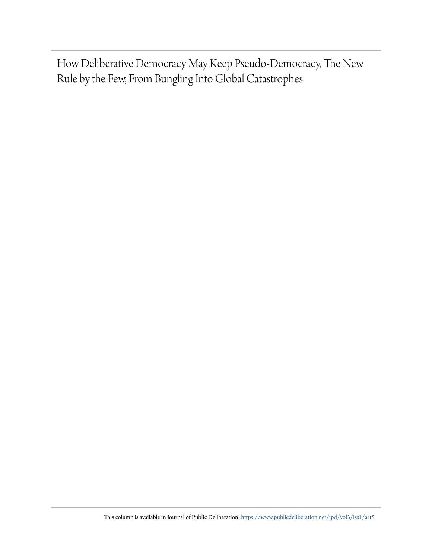How Deliberative Democracy May Keep Pseudo-Democracy, The New Rule by the Few, From Bungling Into Global Catastrophes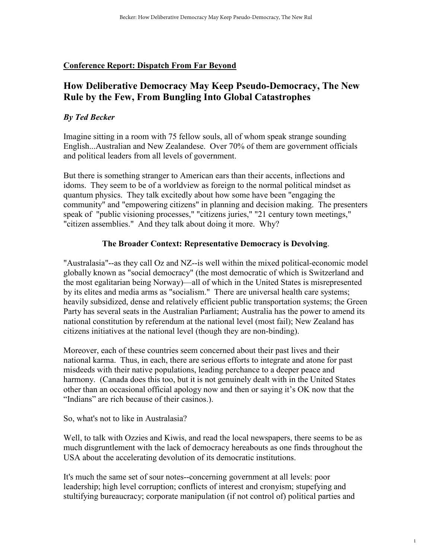#### **Conference Report: Dispatch From Far Beyond**

### **How Deliberative Democracy May Keep Pseudo-Democracy, The New Rule by the Few, From Bungling Into Global Catastrophes**

#### *By Ted Becker*

Imagine sitting in a room with 75 fellow souls, all of whom speak strange sounding English...Australian and New Zealandese. Over 70% of them are government officials and political leaders from all levels of government.

But there is something stranger to American ears than their accents, inflections and idoms. They seem to be of a worldview as foreign to the normal political mindset as quantum physics. They talk excitedly about how some have been "engaging the community" and "empowering citizens" in planning and decision making. The presenters speak of "public visioning processes," "citizens juries," "21 century town meetings," "citizen assemblies." And they talk about doing it more. Why?

#### **The Broader Context: Representative Democracy is Devolving**.

"Australasia"--as they call Oz and NZ--is well within the mixed political-economic model globally known as "social democracy" (the most democratic of which is Switzerland and the most egalitarian being Norway)—all of which in the United States is misrepresented by its elites and media arms as "socialism." There are universal health care systems; heavily subsidized, dense and relatively efficient public transportation systems; the Green Party has several seats in the Australian Parliament; Australia has the power to amend its national constitution by referendum at the national level (most fail); New Zealand has citizens initiatives at the national level (though they are non-binding).

Moreover, each of these countries seem concerned about their past lives and their national karma. Thus, in each, there are serious efforts to integrate and atone for past misdeeds with their native populations, leading perchance to a deeper peace and harmony. (Canada does this too, but it is not genuinely dealt with in the United States other than an occasional official apology now and then or saying it's OK now that the "Indians" are rich because of their casinos.).

So, what's not to like in Australasia?

Well, to talk with Ozzies and Kiwis, and read the local newspapers, there seems to be as much disgruntlement with the lack of democracy hereabouts as one finds throughout the USA about the accelerating devolution of its democratic institutions.

It's much the same set of sour notes--concerning government at all levels: poor leadership; high level corruption; conflicts of interest and cronyism; stupefying and stultifying bureaucracy; corporate manipulation (if not control of) political parties and

1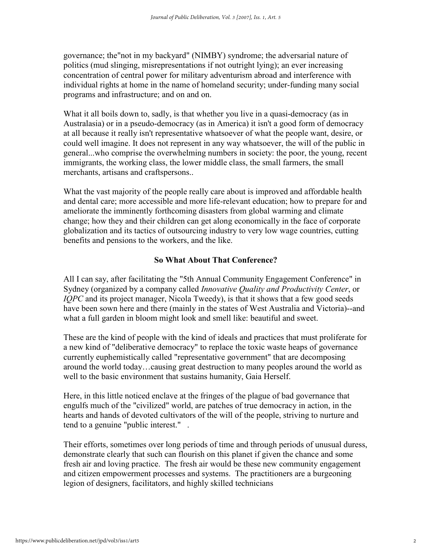governance; the"not in my backyard" (NIMBY) syndrome; the adversarial nature of politics (mud slinging, misrepresentations if not outright lying); an ever increasing concentration of central power for military adventurism abroad and interference with individual rights at home in the name of homeland security; under-funding many social programs and infrastructure; and on and on.

What it all boils down to, sadly, is that whether you live in a quasi-democracy (as in Australasia) or in a pseudo-democracy (as in America) it isn't a good form of democracy at all because it really isn't representative whatsoever of what the people want, desire, or could well imagine. It does not represent in any way whatsoever, the will of the public in general...who comprise the overwhelming numbers in society: the poor, the young, recent immigrants, the working class, the lower middle class, the small farmers, the small merchants, artisans and craftspersons..

What the vast majority of the people really care about is improved and affordable health and dental care; more accessible and more life-relevant education; how to prepare for and ameliorate the imminently forthcoming disasters from global warming and climate change; how they and their children can get along economically in the face of corporate globalization and its tactics of outsourcing industry to very low wage countries, cutting benefits and pensions to the workers, and the like.

#### **So What About That Conference?**

All I can say, after facilitating the "5th Annual Community Engagement Conference" in Sydney (organized by a company called *Innovative Quality and Productivity Center*, or *IQPC* and its project manager, Nicola Tweedy), is that it shows that a few good seeds have been sown here and there (mainly in the states of West Australia and Victoria)--and what a full garden in bloom might look and smell like: beautiful and sweet.

These are the kind of people with the kind of ideals and practices that must proliferate for a new kind of "deliberative democracy" to replace the toxic waste heaps of governance currently euphemistically called "representative government" that are decomposing around the world today…causing great destruction to many peoples around the world as well to the basic environment that sustains humanity, Gaia Herself.

Here, in this little noticed enclave at the fringes of the plague of bad governance that engulfs much of the "civilized" world, are patches of true democracy in action, in the hearts and hands of devoted cultivators of the will of the people, striving to nurture and tend to a genuine "public interest." .

Their efforts, sometimes over long periods of time and through periods of unusual duress, demonstrate clearly that such can flourish on this planet if given the chance and some fresh air and loving practice. The fresh air would be these new community engagement and citizen empowerment processes and systems. The practitioners are a burgeoning legion of designers, facilitators, and highly skilled technicians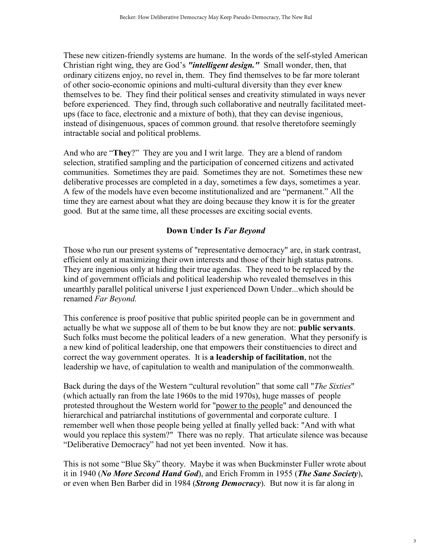These new citizen-friendly systems are humane. In the words of the self-styled American Christian right wing, they are God's *"intelligent design."* Small wonder, then, that ordinary citizens enjoy, no revel in, them. They find themselves to be far more tolerant of other socio-economic opinions and multi-cultural diversity than they ever knew themselves to be. They find their political senses and creativity stimulated in ways never before experienced. They find, through such collaborative and neutrally facilitated meetups (face to face, electronic and a mixture of both), that they can devise ingenious, instead of disingenuous, spaces of common ground. that resolve theretofore seemingly intractable social and political problems.

And who are "**They**?" They are you and I writ large. They are a blend of random selection, stratified sampling and the participation of concerned citizens and activated communities. Sometimes they are paid. Sometimes they are not. Sometimes these new deliberative processes are completed in a day, sometimes a few days, sometimes a year. A few of the models have even become institutionalized and are "permanent." All the time they are earnest about what they are doing because they know it is for the greater good. But at the same time, all these processes are exciting social events.

#### **Down Under Is** *Far Beyond*

Those who run our present systems of "representative democracy" are, in stark contrast, efficient only at maximizing their own interests and those of their high status patrons. They are ingenious only at hiding their true agendas. They need to be replaced by the kind of government officials and political leadership who revealed themselves in this unearthly parallel political universe I just experienced Down Under...which should be renamed *Far Beyond.* 

This conference is proof positive that public spirited people can be in government and actually be what we suppose all of them to be but know they are not: **public servants**. Such folks must become the political leaders of a new generation. What they personify is a new kind of political leadership, one that empowers their constituencies to direct and correct the way government operates. It is **a leadership of facilitation**, not the leadership we have, of capitulation to wealth and manipulation of the commonwealth.

Back during the days of the Western "cultural revolution" that some call "*The Sixties*" (which actually ran from the late 1960s to the mid 1970s), huge masses of people protested throughout the Western world for "power to the people" and denounced the hierarchical and patriarchal institutions of governmental and corporate culture. I remember well when those people being yelled at finally yelled back: "And with what would you replace this system?" There was no reply. That articulate silence was because "Deliberative Democracy" had not yet been invented. Now it has.

This is not some "Blue Sky" theory. Maybe it was when Buckminster Fuller wrote about it in 1940 (*No More Second Hand God*), and Erich Fromm in 1955 (*The Sane Society*), or even when Ben Barber did in 1984 (*Strong Democracy*). But now it is far along in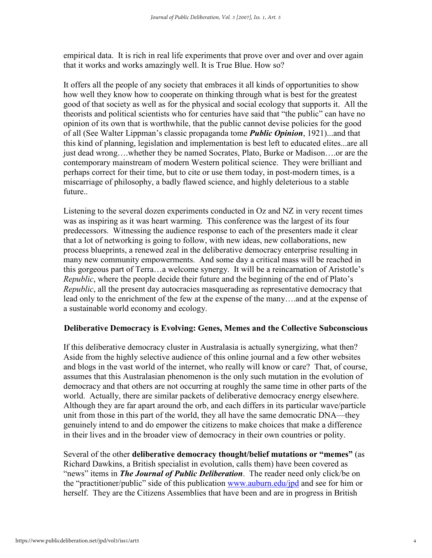empirical data. It is rich in real life experiments that prove over and over and over again that it works and works amazingly well. It is True Blue. How so?

It offers all the people of any society that embraces it all kinds of opportunities to show how well they know how to cooperate on thinking through what is best for the greatest good of that society as well as for the physical and social ecology that supports it. All the theorists and political scientists who for centuries have said that "the public" can have no opinion of its own that is worthwhile, that the public cannot devise policies for the good of all (See Walter Lippman's classic propaganda tome *Public Opinion*, 1921)...and that this kind of planning, legislation and implementation is best left to educated elites...are all just dead wrong….whether they be named Socrates, Plato, Burke or Madison….or are the contemporary mainstream of modern Western political science. They were brilliant and perhaps correct for their time, but to cite or use them today, in post-modern times, is a miscarriage of philosophy, a badly flawed science, and highly deleterious to a stable future.

Listening to the several dozen experiments conducted in Oz and NZ in very recent times was as inspiring as it was heart warming. This conference was the largest of its four predecessors. Witnessing the audience response to each of the presenters made it clear that a lot of networking is going to follow, with new ideas, new collaborations, new process blueprints, a renewed zeal in the deliberative democracy enterprise resulting in many new community empowerments. And some day a critical mass will be reached in this gorgeous part of Terra…a welcome synergy. It will be a reincarnation of Aristotle's *Republic*, where the people decide their future and the beginning of the end of Plato's *Republic*, all the present day autocracies masquerading as representative democracy that lead only to the enrichment of the few at the expense of the many….and at the expense of a sustainable world economy and ecology.

#### **Deliberative Democracy is Evolving: Genes, Memes and the Collective Subconscious**

If this deliberative democracy cluster in Australasia is actually synergizing, what then? Aside from the highly selective audience of this online journal and a few other websites and blogs in the vast world of the internet, who really will know or care? That, of course, assumes that this Australasian phenomenon is the only such mutation in the evolution of democracy and that others are not occurring at roughly the same time in other parts of the world. Actually, there are similar packets of deliberative democracy energy elsewhere. Although they are far apart around the orb, and each differs in its particular wave/particle unit from those in this part of the world, they all have the same democratic DNA—they genuinely intend to and do empower the citizens to make choices that make a difference in their lives and in the broader view of democracy in their own countries or polity.

Several of the other **deliberative democracy thought/belief mutations or "memes"** (as Richard Dawkins, a British specialist in evolution, calls them) have been covered as "news" items in *The Journal of Public Deliberation*. The reader need only click/be on the "practitioner/public" side of this publication www.auburn.edu/jpd and see for him or herself. They are the Citizens Assemblies that have been and are in progress in British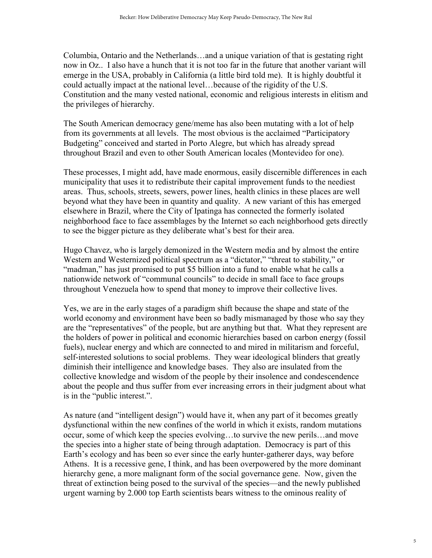Columbia, Ontario and the Netherlands…and a unique variation of that is gestating right now in Oz.. I also have a hunch that it is not too far in the future that another variant will emerge in the USA, probably in California (a little bird told me). It is highly doubtful it could actually impact at the national level…because of the rigidity of the U.S. Constitution and the many vested national, economic and religious interests in elitism and the privileges of hierarchy.

The South American democracy gene/meme has also been mutating with a lot of help from its governments at all levels. The most obvious is the acclaimed "Participatory Budgeting" conceived and started in Porto Alegre, but which has already spread throughout Brazil and even to other South American locales (Montevideo for one).

These processes, I might add, have made enormous, easily discernible differences in each municipality that uses it to redistribute their capital improvement funds to the neediest areas. Thus, schools, streets, sewers, power lines, health clinics in these places are well beyond what they have been in quantity and quality. A new variant of this has emerged elsewhere in Brazil, where the City of Ipatinga has connected the formerly isolated neighborhood face to face assemblages by the Internet so each neighborhood gets directly to see the bigger picture as they deliberate what's best for their area.

Hugo Chavez, who is largely demonized in the Western media and by almost the entire Western and Westernized political spectrum as a "dictator," "threat to stability," or "madman," has just promised to put \$5 billion into a fund to enable what he calls a nationwide network of "communal councils" to decide in small face to face groups throughout Venezuela how to spend that money to improve their collective lives.

Yes, we are in the early stages of a paradigm shift because the shape and state of the world economy and environment have been so badly mismanaged by those who say they are the "representatives" of the people, but are anything but that. What they represent are the holders of power in political and economic hierarchies based on carbon energy (fossil fuels), nuclear energy and which are connected to and mired in militarism and forceful, self-interested solutions to social problems. They wear ideological blinders that greatly diminish their intelligence and knowledge bases. They also are insulated from the collective knowledge and wisdom of the people by their insolence and condescendence about the people and thus suffer from ever increasing errors in their judgment about what is in the "public interest.".

As nature (and "intelligent design") would have it, when any part of it becomes greatly dysfunctional within the new confines of the world in which it exists, random mutations occur, some of which keep the species evolving…to survive the new perils…and move the species into a higher state of being through adaptation. Democracy is part of this Earth's ecology and has been so ever since the early hunter-gatherer days, way before Athens. It is a recessive gene, I think, and has been overpowered by the more dominant hierarchy gene, a more malignant form of the social governance gene. Now, given the threat of extinction being posed to the survival of the species—and the newly published urgent warning by 2.000 top Earth scientists bears witness to the ominous reality of